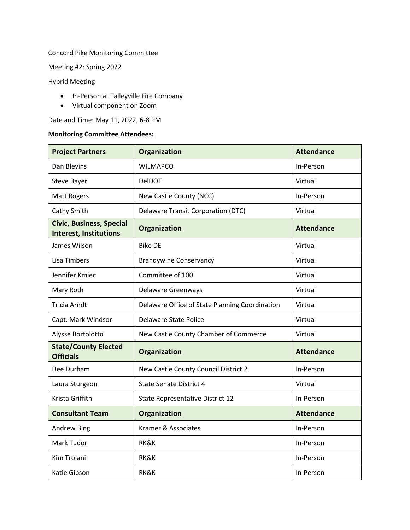## Concord Pike Monitoring Committee

Meeting #2: Spring 2022

Hybrid Meeting

- In-Person at Talleyville Fire Company
- Virtual component on Zoom

Date and Time: May 11, 2022, 6-8 PM

## **Monitoring Committee Attendees:**

| <b>Project Partners</b>                                          | Organization                                   | <b>Attendance</b> |
|------------------------------------------------------------------|------------------------------------------------|-------------------|
| Dan Blevins                                                      | <b>WILMAPCO</b>                                | In-Person         |
| Steve Bayer                                                      | DelDOT                                         | Virtual           |
| <b>Matt Rogers</b>                                               | New Castle County (NCC)                        | In-Person         |
| Cathy Smith                                                      | <b>Delaware Transit Corporation (DTC)</b>      | Virtual           |
| <b>Civic, Business, Special</b><br><b>Interest, Institutions</b> | Organization                                   | <b>Attendance</b> |
| James Wilson                                                     | <b>Bike DE</b>                                 | Virtual           |
| <b>Lisa Timbers</b>                                              | <b>Brandywine Conservancy</b>                  | Virtual           |
| Jennifer Kmiec                                                   | Committee of 100                               | Virtual           |
| Mary Roth                                                        | Delaware Greenways                             | Virtual           |
| <b>Tricia Arndt</b>                                              | Delaware Office of State Planning Coordination | Virtual           |
| Capt. Mark Windsor                                               | <b>Delaware State Police</b>                   | Virtual           |
| Alysse Bortolotto                                                | New Castle County Chamber of Commerce          | Virtual           |
| <b>State/County Elected</b><br><b>Officials</b>                  | Organization                                   | <b>Attendance</b> |
| Dee Durham                                                       | New Castle County Council District 2           | In-Person         |
| Laura Sturgeon                                                   | <b>State Senate District 4</b>                 | Virtual           |
| Krista Griffith                                                  | State Representative District 12               | In-Person         |
| <b>Consultant Team</b>                                           | <b>Organization</b>                            | <b>Attendance</b> |
| <b>Andrew Bing</b>                                               | Kramer & Associates                            | In-Person         |
| Mark Tudor                                                       | RK&K                                           | In-Person         |
| Kim Troiani                                                      | RK&K                                           | In-Person         |
| Katie Gibson                                                     | RK&K                                           | In-Person         |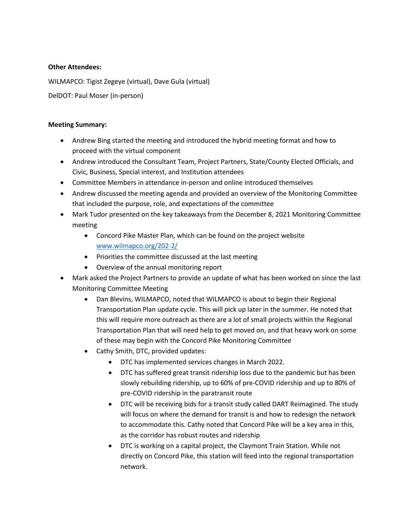## **Other Attendees:**

WILMAPCO: Tigist Zegeye (virtual), Dave Gula (virtual)

DelDOT: Paul Moser (in-person)

## **Meeting Summary:**

- Andrew Bing started the meeting and introduced the hybrid meeting format and how to proceed with the virtual component
- Andrew introduced the Consultant Team, Project Partners, State/County Elected Officials, and Civic, Business, Special interest, and Institution attendees
- Committee Members in attendance in-person and online introduced themselves
- Andrew discussed the meeting agenda and provided an overview of the Monitoring Committee that included the purpose, role, and expectations of the committee
- Mark Tudor presented on the key takeaways from the December 8, 2021 Monitoring Committee meeting
	- Concord Pike Master Plan, which can be found on the project website [www.wilmapco.org/202-2/](http://www.wilmapco.org/202-2/)
	- Priorities the committee discussed at the last meeting
	- Overview of the annual monitoring report
- Mark asked the Project Partners to provide an update of what has been worked on since the last Monitoring Committee Meeting
	- Dan Blevins, WILMAPCO, noted that WILMAPCO is about to begin their Regional Transportation Plan update cycle. This will pick up later in the summer. He noted that this will require more outreach as there are a lot of small projects within the Regional Transportation Plan that will need help to get moved on, and that heavy work on some of these may begin with the Concord Pike Monitoring Committee
	- Cathy Smith, DTC, provided updates:
		- DTC has implemented services changes in March 2022.
		- DTC has suffered great transit ridership loss due to the pandemic but has been slowly rebuilding ridership, up to 60% of pre-COVID ridership and up to 80% of pre-COVID ridership in the paratransit route
		- DTC will be receiving bids for a transit study called DART Reimagined. The study will focus on where the demand for transit is and how to redesign the network to accommodate this. Cathy noted that Concord Pike will be a key area in this, as the corridor has robust routes and ridership
		- DTC is working on a capital project, the Claymont Train Station. While not directly on Concord Pike, this station will feed into the regional transportation network.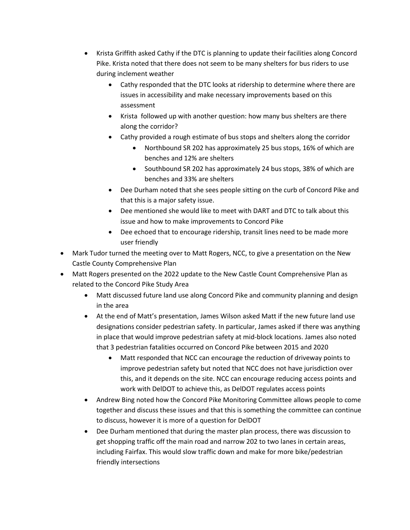- Krista Griffith asked Cathy if the DTC is planning to update their facilities along Concord Pike. Krista noted that there does not seem to be many shelters for bus riders to use during inclement weather
	- Cathy responded that the DTC looks at ridership to determine where there are issues in accessibility and make necessary improvements based on this assessment
	- Krista followed up with another question: how many bus shelters are there along the corridor?
	- Cathy provided a rough estimate of bus stops and shelters along the corridor
		- Northbound SR 202 has approximately 25 bus stops, 16% of which are benches and 12% are shelters
		- Southbound SR 202 has approximately 24 bus stops, 38% of which are benches and 33% are shelters
	- Dee Durham noted that she sees people sitting on the curb of Concord Pike and that this is a major safety issue.
	- Dee mentioned she would like to meet with DART and DTC to talk about this issue and how to make improvements to Concord Pike
	- Dee echoed that to encourage ridership, transit lines need to be made more user friendly
- Mark Tudor turned the meeting over to Matt Rogers, NCC, to give a presentation on the New Castle County Comprehensive Plan
- Matt Rogers presented on the 2022 update to the New Castle Count Comprehensive Plan as related to the Concord Pike Study Area
	- Matt discussed future land use along Concord Pike and community planning and design in the area
	- At the end of Matt's presentation, James Wilson asked Matt if the new future land use designations consider pedestrian safety. In particular, James asked if there was anything in place that would improve pedestrian safety at mid-block locations. James also noted that 3 pedestrian fatalities occurred on Concord Pike between 2015 and 2020
		- Matt responded that NCC can encourage the reduction of driveway points to improve pedestrian safety but noted that NCC does not have jurisdiction over this, and it depends on the site. NCC can encourage reducing access points and work with DelDOT to achieve this, as DelDOT regulates access points
	- Andrew Bing noted how the Concord Pike Monitoring Committee allows people to come together and discuss these issues and that this is something the committee can continue to discuss, however it is more of a question for DelDOT
	- Dee Durham mentioned that during the master plan process, there was discussion to get shopping traffic off the main road and narrow 202 to two lanes in certain areas, including Fairfax. This would slow traffic down and make for more bike/pedestrian friendly intersections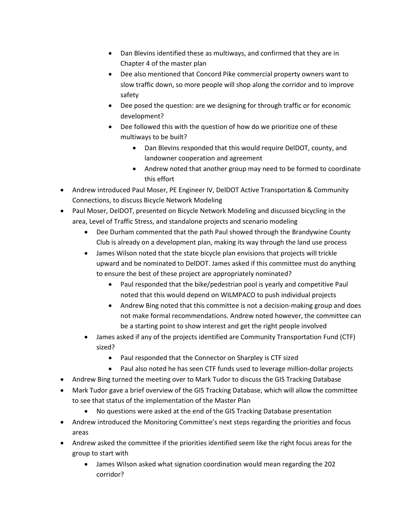- Dan Blevins identified these as multiways, and confirmed that they are in Chapter 4 of the master plan
- Dee also mentioned that Concord Pike commercial property owners want to slow traffic down, so more people will shop along the corridor and to improve safety
- Dee posed the question: are we designing for through traffic or for economic development?
- Dee followed this with the question of how do we prioritize one of these multiways to be built?
	- Dan Blevins responded that this would require DelDOT, county, and landowner cooperation and agreement
	- Andrew noted that another group may need to be formed to coordinate this effort
- Andrew introduced Paul Moser, PE Engineer IV, DelDOT Active Transportation & Community Connections, to discuss Bicycle Network Modeling
- Paul Moser, DelDOT, presented on Bicycle Network Modeling and discussed bicycling in the area, Level of Traffic Stress, and standalone projects and scenario modeling
	- Dee Durham commented that the path Paul showed through the Brandywine County Club is already on a development plan, making its way through the land use process
	- James Wilson noted that the state bicycle plan envisions that projects will trickle upward and be nominated to DelDOT. James asked if this committee must do anything to ensure the best of these project are appropriately nominated?
		- Paul responded that the bike/pedestrian pool is yearly and competitive Paul noted that this would depend on WILMPACO to push individual projects
		- Andrew Bing noted that this committee is not a decision-making group and does not make formal recommendations. Andrew noted however, the committee can be a starting point to show interest and get the right people involved
	- James asked if any of the projects identified are Community Transportation Fund (CTF) sized?
		- Paul responded that the Connector on Sharpley is CTF sized
		- Paul also noted he has seen CTF funds used to leverage million-dollar projects
- Andrew Bing turned the meeting over to Mark Tudor to discuss the GIS Tracking Database
- Mark Tudor gave a brief overview of the GIS Tracking Database, which will allow the committee to see that status of the implementation of the Master Plan
	- No questions were asked at the end of the GIS Tracking Database presentation
- Andrew introduced the Monitoring Committee's next steps regarding the priorities and focus areas
- Andrew asked the committee if the priorities identified seem like the right focus areas for the group to start with
	- James Wilson asked what signation coordination would mean regarding the 202 corridor?